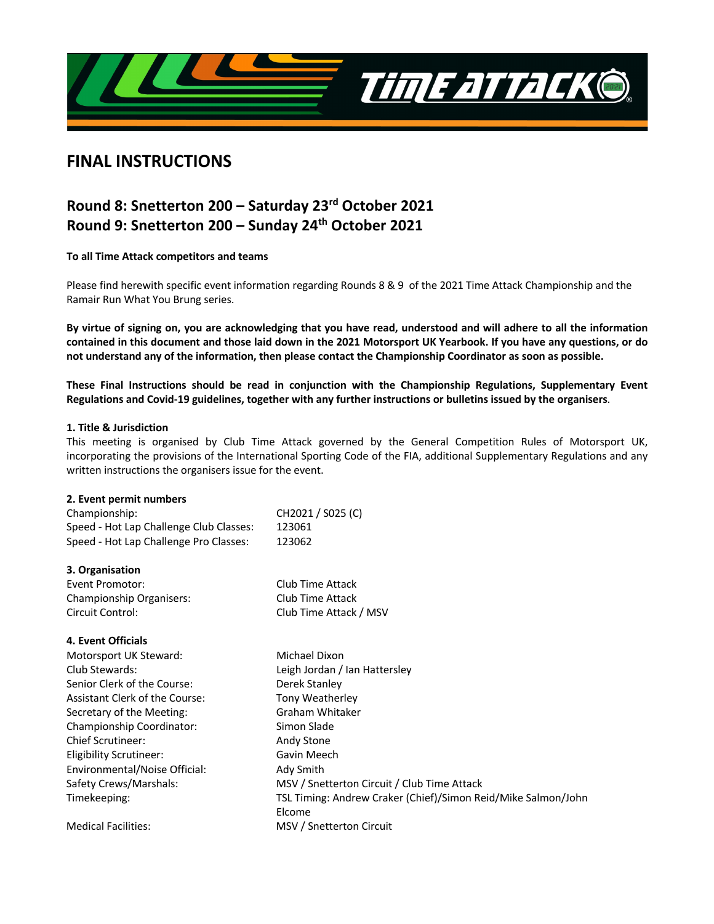

# **FINAL INSTRUCTIONS**

# **Round 8: Snetterton 200 – Saturday 23rd October 2021 Round 9: Snetterton 200 – Sunday 24th October 2021**

**To all Time Attack competitors and teams**

Please find herewith specific event information regarding Rounds 8 & 9 of the 2021 Time Attack Championship and the Ramair Run What You Brung series.

**By virtue of signing on, you are acknowledging that you have read, understood and will adhere to all the information contained in this document and those laid down in the 2021 Motorsport UK Yearbook. If you have any questions, or do not understand any of the information, then please contact the Championship Coordinator as soon as possible.** 

**These Final Instructions should be read in conjunction with the Championship Regulations, Supplementary Event Regulations and Covid-19 guidelines, together with any further instructions or bulletins issued by the organisers**.

## **1. Title & Jurisdiction**

This meeting is organised by Club Time Attack governed by the General Competition Rules of Motorsport UK, incorporating the provisions of the International Sporting Code of the FIA, additional Supplementary Regulations and any written instructions the organisers issue for the event.

## **2. Event permit numbers**

| CH2021 / S025 (C)                                             |
|---------------------------------------------------------------|
| 123061                                                        |
| 123062                                                        |
|                                                               |
| Club Time Attack                                              |
| Club Time Attack                                              |
| Club Time Attack / MSV                                        |
|                                                               |
| Michael Dixon                                                 |
| Leigh Jordan / Ian Hattersley                                 |
| Derek Stanley                                                 |
| Tony Weatherley                                               |
| Graham Whitaker                                               |
| Simon Slade                                                   |
| Andy Stone                                                    |
| Gavin Meech                                                   |
| Ady Smith                                                     |
| MSV / Snetterton Circuit / Club Time Attack                   |
| TSL Timing: Andrew Craker (Chief)/Simon Reid/Mike Salmon/John |
| Elcome                                                        |
| MSV / Snetterton Circuit                                      |
|                                                               |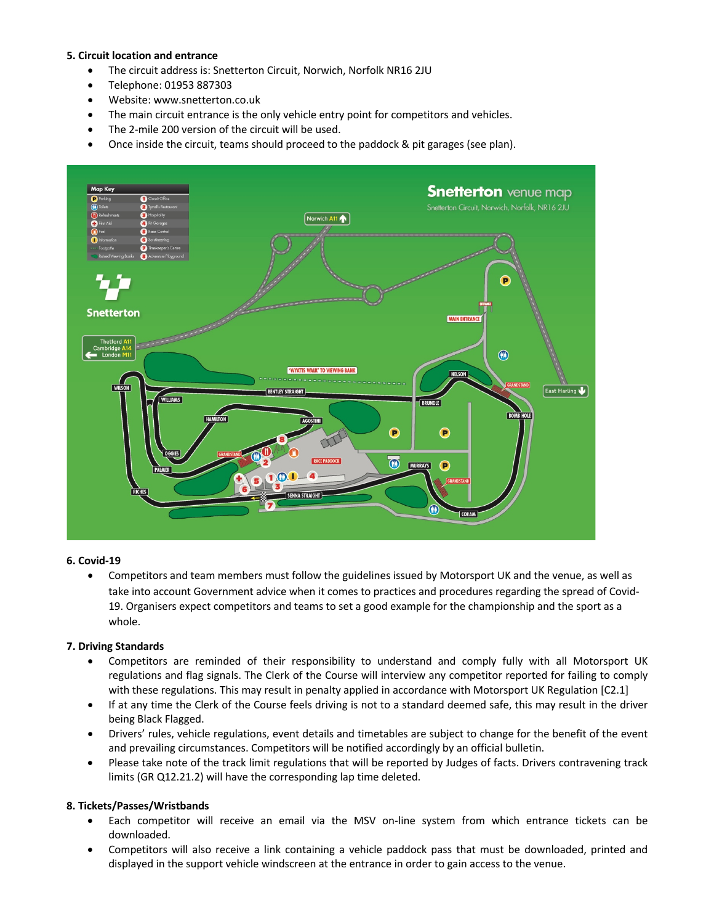## **5. Circuit location and entrance**

- The circuit address is: Snetterton Circuit, Norwich, Norfolk NR16 2JU
- Telephone: 01953 887303
- Website: www.snetterton.co.uk
- The main circuit entrance is the only vehicle entry point for competitors and vehicles.
- The 2-mile 200 version of the circuit will be used.
- Once inside the circuit, teams should proceed to the paddock & pit garages (see plan).



## **6. Covid-19**

• Competitors and team members must follow the guidelines issued by Motorsport UK and the venue, as well as take into account Government advice when it comes to practices and procedures regarding the spread of Covid-19. Organisers expect competitors and teams to set a good example for the championship and the sport as a whole.

## **7. Driving Standards**

- Competitors are reminded of their responsibility to understand and comply fully with all Motorsport UK regulations and flag signals. The Clerk of the Course will interview any competitor reported for failing to comply with these regulations. This may result in penalty applied in accordance with Motorsport UK Regulation [C2.1]
- If at any time the Clerk of the Course feels driving is not to a standard deemed safe, this may result in the driver being Black Flagged.
- Drivers' rules, vehicle regulations, event details and timetables are subject to change for the benefit of the event and prevailing circumstances. Competitors will be notified accordingly by an official bulletin.
- Please take note of the track limit regulations that will be reported by Judges of facts. Drivers contravening track limits (GR Q12.21.2) will have the corresponding lap time deleted.

## **8. Tickets/Passes/Wristbands**

- Each competitor will receive an email via the MSV on-line system from which entrance tickets can be downloaded.
- Competitors will also receive a link containing a vehicle paddock pass that must be downloaded, printed and displayed in the support vehicle windscreen at the entrance in order to gain access to the venue.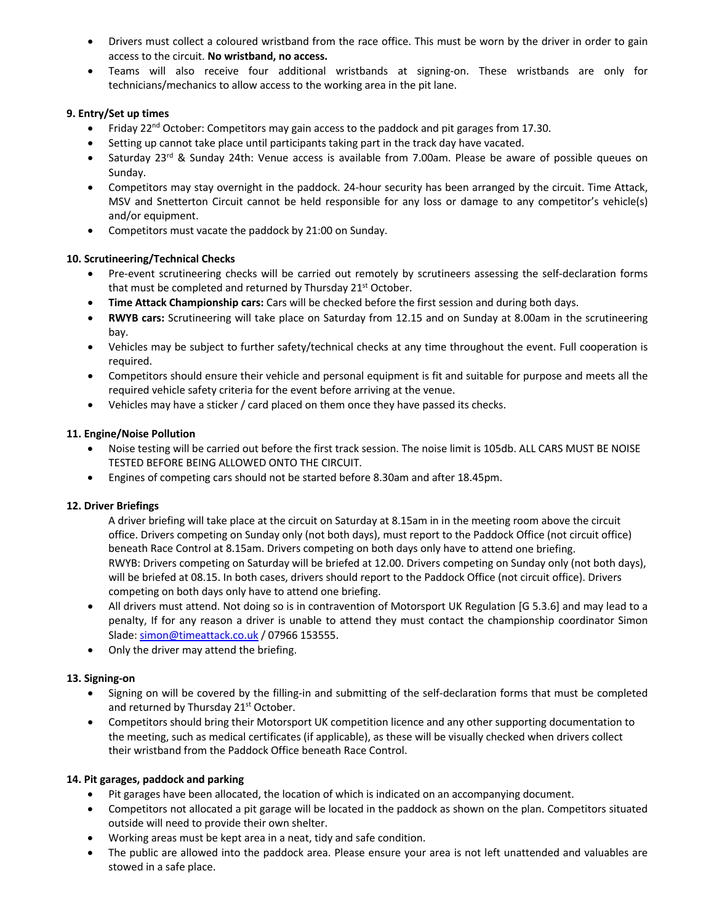- Drivers must collect a coloured wristband from the race office. This must be worn by the driver in order to gain access to the circuit. **No wristband, no access.**
- Teams will also receive four additional wristbands at signing-on. These wristbands are only for technicians/mechanics to allow access to the working area in the pit lane.

## **9. Entry/Set up times**

- Friday 22<sup>nd</sup> October: Competitors may gain access to the paddock and pit garages from 17.30.
- Setting up cannot take place until participants taking part in the track day have vacated.
- Saturday 23<sup>rd</sup> & Sunday 24th: Venue access is available from 7.00am. Please be aware of possible queues on Sunday.
- Competitors may stay overnight in the paddock. 24-hour security has been arranged by the circuit. Time Attack, MSV and Snetterton Circuit cannot be held responsible for any loss or damage to any competitor's vehicle(s) and/or equipment.
- Competitors must vacate the paddock by 21:00 on Sunday.

# **10. Scrutineering/Technical Checks**

- Pre-event scrutineering checks will be carried out remotely by scrutineers assessing the self-declaration forms that must be completed and returned by Thursday 21<sup>st</sup> October.
- **Time Attack Championship cars:** Cars will be checked before the first session and during both days.
- **RWYB cars:** Scrutineering will take place on Saturday from 12.15 and on Sunday at 8.00am in the scrutineering bay.
- Vehicles may be subject to further safety/technical checks at any time throughout the event. Full cooperation is required.
- Competitors should ensure their vehicle and personal equipment is fit and suitable for purpose and meets all the required vehicle safety criteria for the event before arriving at the venue.
- Vehicles may have a sticker / card placed on them once they have passed its checks.

# **11. Engine/Noise Pollution**

- Noise testing will be carried out before the first track session. The noise limit is 105db. ALL CARS MUST BE NOISE TESTED BEFORE BEING ALLOWED ONTO THE CIRCUIT.
- Engines of competing cars should not be started before 8.30am and after 18.45pm.

# **12. Driver Briefings**

A driver briefing will take place at the circuit on Saturday at 8.15am in in the meeting room above the circuit office. Drivers competing on Sunday only (not both days), must report to the Paddock Office (not circuit office) beneath Race Control at 8.15am. Drivers competing on both days only have to attend one briefing. RWYB: Drivers competing on Saturday will be briefed at 12.00. Drivers competing on Sunday only (not both days), will be briefed at 08.15. In both cases, drivers should report to the Paddock Office (not circuit office). Drivers competing on both days only have to attend one briefing.

- All drivers must attend. Not doing so is in contravention of Motorsport UK Regulation [G 5.3.6] and may lead to a penalty, If for any reason a driver is unable to attend they must contact the championship coordinator Simon Slade: simon@timeattack.co.uk / 07966 153555.
- Only the driver may attend the briefing.

# **13. Signing-on**

- Signing on will be covered by the filling-in and submitting of the self-declaration forms that must be completed and returned by Thursday 21<sup>st</sup> October.
- Competitors should bring their Motorsport UK competition licence and any other supporting documentation to the meeting, such as medical certificates (if applicable), as these will be visually checked when drivers collect their wristband from the Paddock Office beneath Race Control.

# **14. Pit garages, paddock and parking**

- Pit garages have been allocated, the location of which is indicated on an accompanying document.
- Competitors not allocated a pit garage will be located in the paddock as shown on the plan. Competitors situated outside will need to provide their own shelter.
- Working areas must be kept area in a neat, tidy and safe condition.
- The public are allowed into the paddock area. Please ensure your area is not left unattended and valuables are stowed in a safe place.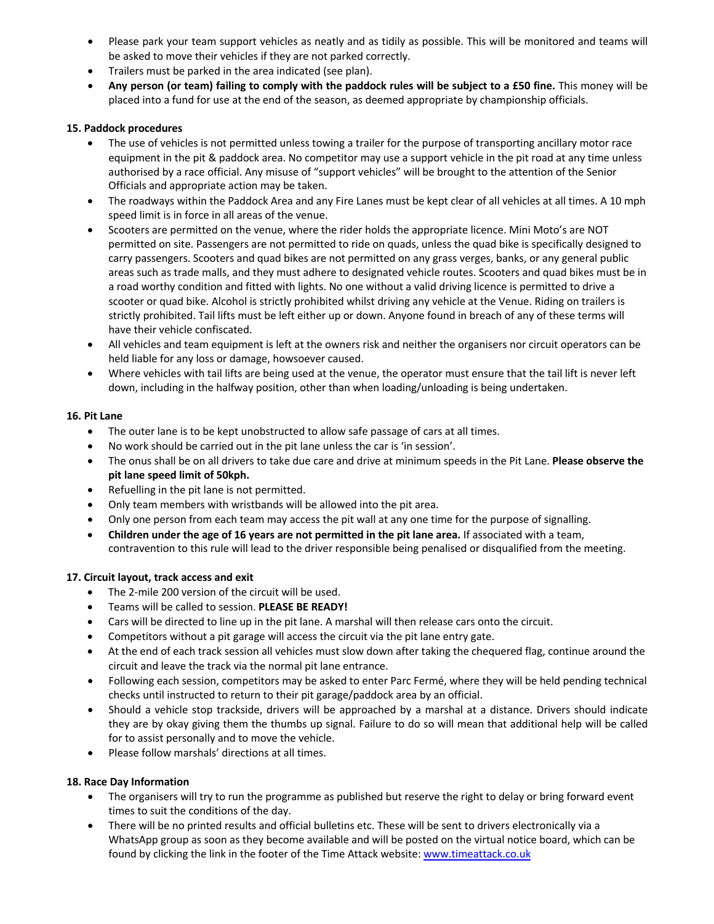- Please park your team support vehicles as neatly and as tidily as possible. This will be monitored and teams will be asked to move their vehicles if they are not parked correctly.
- Trailers must be parked in the area indicated (see plan).
- Any person (or team) failing to comply with the paddock rules will be subject to a £50 fine. This money will be placed into a fund for use at the end of the season, as deemed appropriate by championship officials.

## **15. Paddock procedures**

- The use of vehicles is not permitted unless towing a trailer for the purpose of transporting ancillary motor race equipment in the pit & paddock area. No competitor may use a support vehicle in the pit road at any time unless authorised by a race official. Any misuse of "support vehicles" will be brought to the attention of the Senior Officials and appropriate action may be taken.
- The roadways within the Paddock Area and any Fire Lanes must be kept clear of all vehicles at all times. A 10 mph speed limit is in force in all areas of the venue.
- Scooters are permitted on the venue, where the rider holds the appropriate licence. Mini Moto's are NOT permitted on site. Passengers are not permitted to ride on quads, unless the quad bike is specifically designed to carry passengers. Scooters and quad bikes are not permitted on any grass verges, banks, or any general public areas such as trade malls, and they must adhere to designated vehicle routes. Scooters and quad bikes must be in a road worthy condition and fitted with lights. No one without a valid driving licence is permitted to drive a scooter or quad bike. Alcohol is strictly prohibited whilst driving any vehicle at the Venue. Riding on trailers is strictly prohibited. Tail lifts must be left either up or down. Anyone found in breach of any of these terms will have their vehicle confiscated.
- All vehicles and team equipment is left at the owners risk and neither the organisers nor circuit operators can be held liable for any loss or damage, howsoever caused.
- Where vehicles with tail lifts are being used at the venue, the operator must ensure that the tail lift is never left down, including in the halfway position, other than when loading/unloading is being undertaken.

## **16. Pit Lane**

- The outer lane is to be kept unobstructed to allow safe passage of cars at all times.
- No work should be carried out in the pit lane unless the car is 'in session'.
- The onus shall be on all drivers to take due care and drive at minimum speeds in the Pit Lane. **Please observe the pit lane speed limit of 50kph.**
- Refuelling in the pit lane is not permitted.
- Only team members with wristbands will be allowed into the pit area.
- Only one person from each team may access the pit wall at any one time for the purpose of signalling.
- **Children under the age of 16 years are not permitted in the pit lane area.** If associated with a team, contravention to this rule will lead to the driver responsible being penalised or disqualified from the meeting.

## **17. Circuit layout, track access and exit**

- The 2-mile 200 version of the circuit will be used.
- Teams will be called to session. **PLEASE BE READY!**
- Cars will be directed to line up in the pit lane. A marshal will then release cars onto the circuit.
- Competitors without a pit garage will access the circuit via the pit lane entry gate.
- At the end of each track session all vehicles must slow down after taking the chequered flag, continue around the circuit and leave the track via the normal pit lane entrance.
- Following each session, competitors may be asked to enter Parc Fermé, where they will be held pending technical checks until instructed to return to their pit garage/paddock area by an official.
- Should a vehicle stop trackside, drivers will be approached by a marshal at a distance. Drivers should indicate they are by okay giving them the thumbs up signal. Failure to do so will mean that additional help will be called for to assist personally and to move the vehicle.
- Please follow marshals' directions at all times.

## **18. Race Day Information**

- The organisers will try to run the programme as published but reserve the right to delay or bring forward event times to suit the conditions of the day.
- There will be no printed results and official bulletins etc. These will be sent to drivers electronically via a WhatsApp group as soon as they become available and will be posted on the virtual notice board, which can be found by clicking the link in the footer of the Time Attack website: www.timeattack.co.uk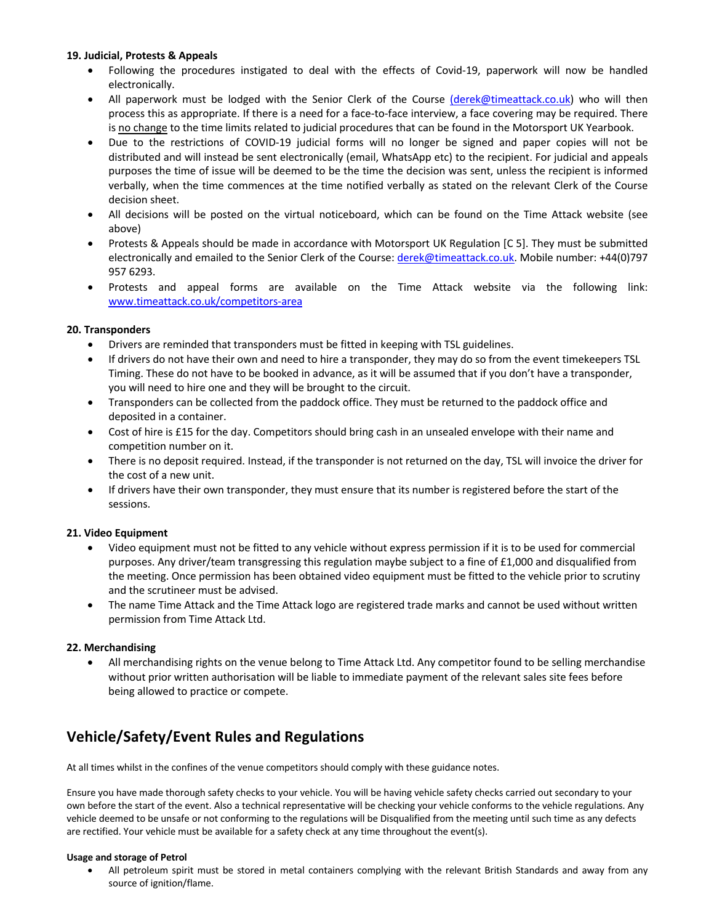## **19. Judicial, Protests & Appeals**

- Following the procedures instigated to deal with the effects of Covid-19, paperwork will now be handled electronically.
- All paperwork must be lodged with the Senior Clerk of the Course (derek@timeattack.co.uk) who will then process this as appropriate. If there is a need for a face-to-face interview, a face covering may be required. There is no change to the time limits related to judicial procedures that can be found in the Motorsport UK Yearbook.
- Due to the restrictions of COVID-19 judicial forms will no longer be signed and paper copies will not be distributed and will instead be sent electronically (email, WhatsApp etc) to the recipient. For judicial and appeals purposes the time of issue will be deemed to be the time the decision was sent, unless the recipient is informed verbally, when the time commences at the time notified verbally as stated on the relevant Clerk of the Course decision sheet.
- All decisions will be posted on the virtual noticeboard, which can be found on the Time Attack website (see above)
- Protests & Appeals should be made in accordance with Motorsport UK Regulation [C 5]. They must be submitted electronically and emailed to the Senior Clerk of the Course: derek@timeattack.co.uk. Mobile number: +44(0)797 957 6293.
- Protests and appeal forms are available on the Time Attack website via the following link: www.timeattack.co.uk/competitors-area

## **20. Transponders**

- Drivers are reminded that transponders must be fitted in keeping with TSL guidelines.
- If drivers do not have their own and need to hire a transponder, they may do so from the event timekeepers TSL Timing. These do not have to be booked in advance, as it will be assumed that if you don't have a transponder, you will need to hire one and they will be brought to the circuit.
- Transponders can be collected from the paddock office. They must be returned to the paddock office and deposited in a container.
- Cost of hire is £15 for the day. Competitors should bring cash in an unsealed envelope with their name and competition number on it.
- There is no deposit required. Instead, if the transponder is not returned on the day, TSL will invoice the driver for the cost of a new unit.
- If drivers have their own transponder, they must ensure that its number is registered before the start of the sessions.

## **21. Video Equipment**

- Video equipment must not be fitted to any vehicle without express permission if it is to be used for commercial purposes. Any driver/team transgressing this regulation maybe subject to a fine of £1,000 and disqualified from the meeting. Once permission has been obtained video equipment must be fitted to the vehicle prior to scrutiny and the scrutineer must be advised.
- The name Time Attack and the Time Attack logo are registered trade marks and cannot be used without written permission from Time Attack Ltd.

## **22. Merchandising**

• All merchandising rights on the venue belong to Time Attack Ltd. Any competitor found to be selling merchandise without prior written authorisation will be liable to immediate payment of the relevant sales site fees before being allowed to practice or compete.

# **Vehicle/Safety/Event Rules and Regulations**

At all times whilst in the confines of the venue competitors should comply with these guidance notes.

Ensure you have made thorough safety checks to your vehicle. You will be having vehicle safety checks carried out secondary to your own before the start of the event. Also a technical representative will be checking your vehicle conforms to the vehicle regulations. Any vehicle deemed to be unsafe or not conforming to the regulations will be Disqualified from the meeting until such time as any defects are rectified. Your vehicle must be available for a safety check at any time throughout the event(s).

## **Usage and storage of Petrol**

• All petroleum spirit must be stored in metal containers complying with the relevant British Standards and away from any source of ignition/flame.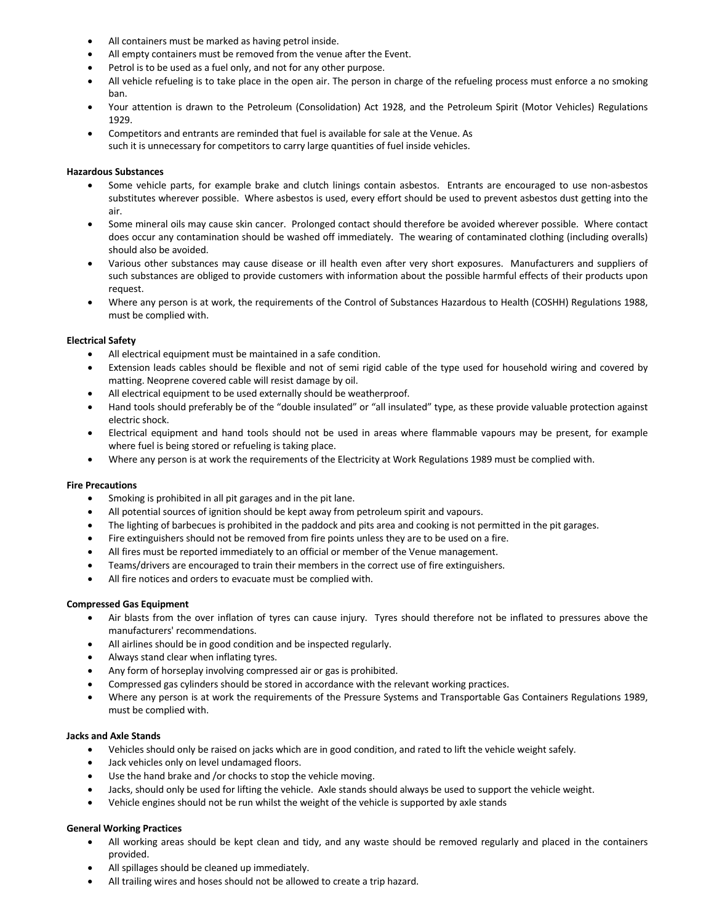- All containers must be marked as having petrol inside.
- All empty containers must be removed from the venue after the Event.
- Petrol is to be used as a fuel only, and not for any other purpose.
- All vehicle refueling is to take place in the open air. The person in charge of the refueling process must enforce a no smoking ban.
- Your attention is drawn to the Petroleum (Consolidation) Act 1928, and the Petroleum Spirit (Motor Vehicles) Regulations 1929.
- Competitors and entrants are reminded that fuel is available for sale at the Venue. As such it is unnecessary for competitors to carry large quantities of fuel inside vehicles.

#### **Hazardous Substances**

- Some vehicle parts, for example brake and clutch linings contain asbestos. Entrants are encouraged to use non-asbestos substitutes wherever possible. Where asbestos is used, every effort should be used to prevent asbestos dust getting into the air.
- Some mineral oils may cause skin cancer. Prolonged contact should therefore be avoided wherever possible. Where contact does occur any contamination should be washed off immediately. The wearing of contaminated clothing (including overalls) should also be avoided.
- Various other substances may cause disease or ill health even after very short exposures. Manufacturers and suppliers of such substances are obliged to provide customers with information about the possible harmful effects of their products upon request.
- Where any person is at work, the requirements of the Control of Substances Hazardous to Health (COSHH) Regulations 1988, must be complied with.

#### **Electrical Safety**

- All electrical equipment must be maintained in a safe condition.
- Extension leads cables should be flexible and not of semi rigid cable of the type used for household wiring and covered by matting. Neoprene covered cable will resist damage by oil.
- All electrical equipment to be used externally should be weatherproof.
- Hand tools should preferably be of the "double insulated" or "all insulated" type, as these provide valuable protection against electric shock.
- Electrical equipment and hand tools should not be used in areas where flammable vapours may be present, for example where fuel is being stored or refueling is taking place.
- Where any person is at work the requirements of the Electricity at Work Regulations 1989 must be complied with.

#### **Fire Precautions**

- Smoking is prohibited in all pit garages and in the pit lane.
- All potential sources of ignition should be kept away from petroleum spirit and vapours.
- The lighting of barbecues is prohibited in the paddock and pits area and cooking is not permitted in the pit garages.
- Fire extinguishers should not be removed from fire points unless they are to be used on a fire.
- All fires must be reported immediately to an official or member of the Venue management.
- Teams/drivers are encouraged to train their members in the correct use of fire extinguishers.
- All fire notices and orders to evacuate must be complied with.

#### **Compressed Gas Equipment**

- Air blasts from the over inflation of tyres can cause injury. Tyres should therefore not be inflated to pressures above the manufacturers' recommendations.
- All airlines should be in good condition and be inspected regularly.
- Always stand clear when inflating tyres.
- Any form of horseplay involving compressed air or gas is prohibited.
- Compressed gas cylinders should be stored in accordance with the relevant working practices.
- Where any person is at work the requirements of the Pressure Systems and Transportable Gas Containers Regulations 1989, must be complied with.

#### **Jacks and Axle Stands**

- Vehicles should only be raised on jacks which are in good condition, and rated to lift the vehicle weight safely.
- Jack vehicles only on level undamaged floors.
- Use the hand brake and /or chocks to stop the vehicle moving.
- Jacks, should only be used for lifting the vehicle. Axle stands should always be used to support the vehicle weight.
- Vehicle engines should not be run whilst the weight of the vehicle is supported by axle stands

#### **General Working Practices**

- All working areas should be kept clean and tidy, and any waste should be removed regularly and placed in the containers provided.
- All spillages should be cleaned up immediately.
- All trailing wires and hoses should not be allowed to create a trip hazard.